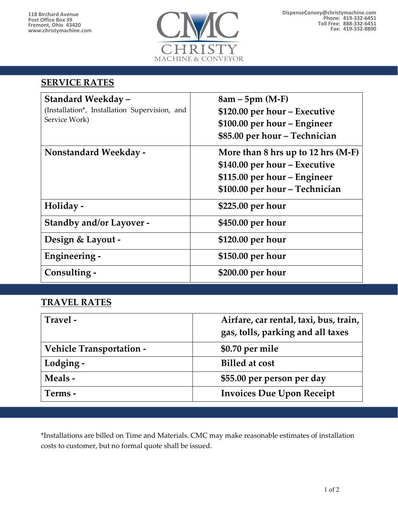

#### **SERVICE RATES**

| <b>Standard Weekday -</b><br>(Installation*, Installation Supervision, and<br>Service Work) | $8am - 5pm (M-F)$<br>\$120.00 per hour – Executive<br>\$100.00 per hour – Engineer<br>\$85.00 per hour – Technician                     |
|---------------------------------------------------------------------------------------------|-----------------------------------------------------------------------------------------------------------------------------------------|
| <b>Nonstandard Weekday -</b>                                                                | More than $8$ hrs up to 12 hrs (M-F)<br>\$140.00 per hour – Executive<br>\$115.00 per hour – Engineer<br>\$100.00 per hour - Technician |
| Holiday -                                                                                   | \$225.00 per hour                                                                                                                       |
| <b>Standby and/or Layover -</b>                                                             | \$450.00 per hour                                                                                                                       |
| Design & Layout -                                                                           | \$120.00 per hour                                                                                                                       |
| Engineering -                                                                               | \$150.00 per hour                                                                                                                       |
| Consulting -                                                                                | \$200.00 per hour                                                                                                                       |

## **TRAVEL RATES**

| Travel -                        | Airfare, car rental, taxi, bus, train,<br>gas, tolls, parking and all taxes |
|---------------------------------|-----------------------------------------------------------------------------|
| <b>Vehicle Transportation -</b> | \$0.70 per mile                                                             |
| Lodging -                       | <b>Billed at cost</b>                                                       |
| Meals -                         | \$55.00 per person per day                                                  |
| Terms -                         | <b>Invoices Due Upon Receipt</b>                                            |

\*Installations are billed on Time and Materials. CMC may make reasonable estimates of installation costs to customer, but no formal quote shall be issued.